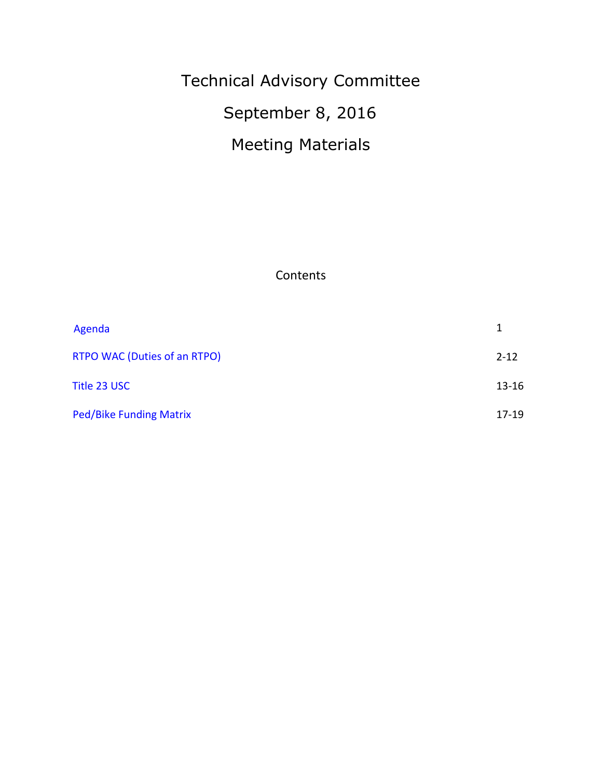# Technical Advisory Committee September 8, 2016 Meeting Materials

**Contents** 

| Agenda                         |           |
|--------------------------------|-----------|
| RTPO WAC (Duties of an RTPO)   | $2 - 12$  |
| Title 23 USC                   | $13 - 16$ |
| <b>Ped/Bike Funding Matrix</b> | $17 - 19$ |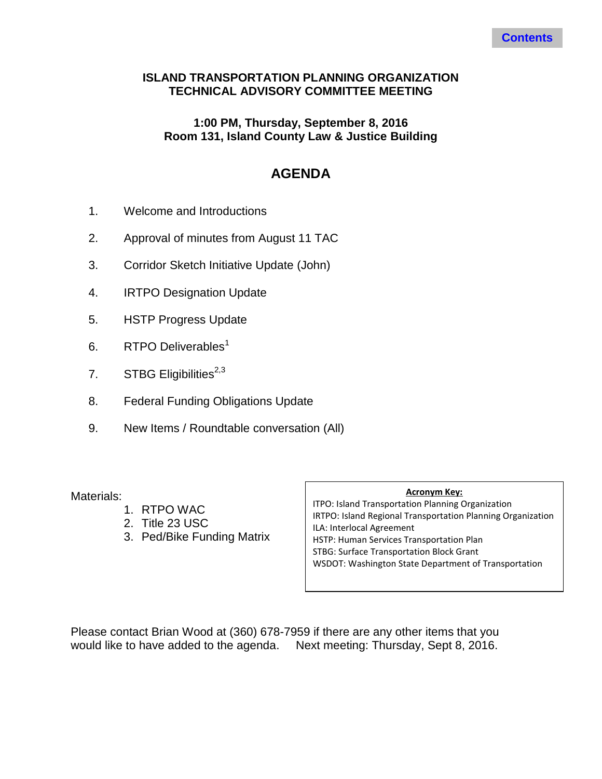#### <span id="page-1-0"></span>**ISLAND TRANSPORTATION PLANNING ORGANIZATION TECHNICAL ADVISORY COMMITTEE MEETING**

#### **1:00 PM, Thursday, September 8, 2016 Room 131, Island County Law & Justice Building**

# **AGENDA**

- 1. Welcome and Introductions
- 2. Approval of minutes from August 11 TAC
- 3. Corridor Sketch Initiative Update (John)
- 4. IRTPO Designation Update
- 5. HSTP Progress Update
- 6. RTPO Deliverables<sup>1</sup>
- 7. STBG Eligibilities $^{2,3}$
- 8. Federal Funding Obligations Update
- 9. New Items / Roundtable conversation (All)

Materials:

- 1. RTPO WAC
- 2. Title 23 USC
- 3. Ped/Bike Funding Matrix

#### **Acronym Key:**

ITPO: Island Transportation Planning Organization IRTPO: Island Regional Transportation Planning Organization ILA: Interlocal Agreement HSTP: Human Services Transportation Plan STBG: Surface Transportation Block Grant WSDOT: Washington State Department of Transportation

Please contact Brian Wood at (360) 678-7959 if there are any other items that you would like to have added to the agenda. Next meeting: Thursday, Sept 8, 2016.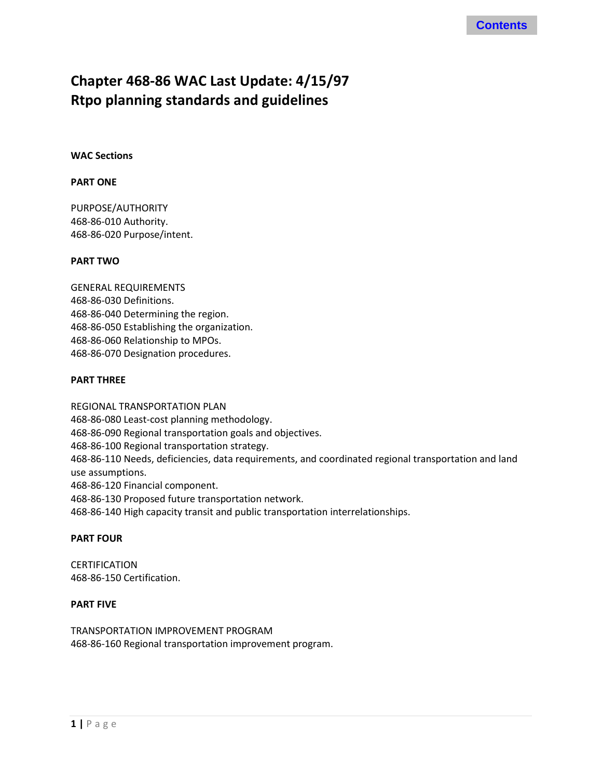# <span id="page-2-0"></span>**Chapter 468-86 WAC Last Update: 4/15/97 Rtpo planning standards and guidelines**

**WAC Sections**

#### **PART ONE**

PURPOSE/AUTHORITY 468-86-010 Authority. 468-86-020 Purpose/intent.

#### **PART TWO**

GENERAL REQUIREMENTS 468-86-030 Definitions. 468-86-040 Determining the region. 468-86-050 Establishing the organization. 468-86-060 Relationship to MPOs. 468-86-070 Designation procedures.

#### **PART THREE**

REGIONAL TRANSPORTATION PLAN 468-86-080 Least-cost planning methodology. 468-86-090 Regional transportation goals and objectives. 468-86-100 Regional transportation strategy. 468-86-110 Needs, deficiencies, data requirements, and coordinated regional transportation and land use assumptions. 468-86-120 Financial component. 468-86-130 Proposed future transportation network. 468-86-140 High capacity transit and public transportation interrelationships.

#### **PART FOUR**

**CERTIFICATION** 468-86-150 Certification.

#### **PART FIVE**

TRANSPORTATION IMPROVEMENT PROGRAM 468-86-160 Regional transportation improvement program.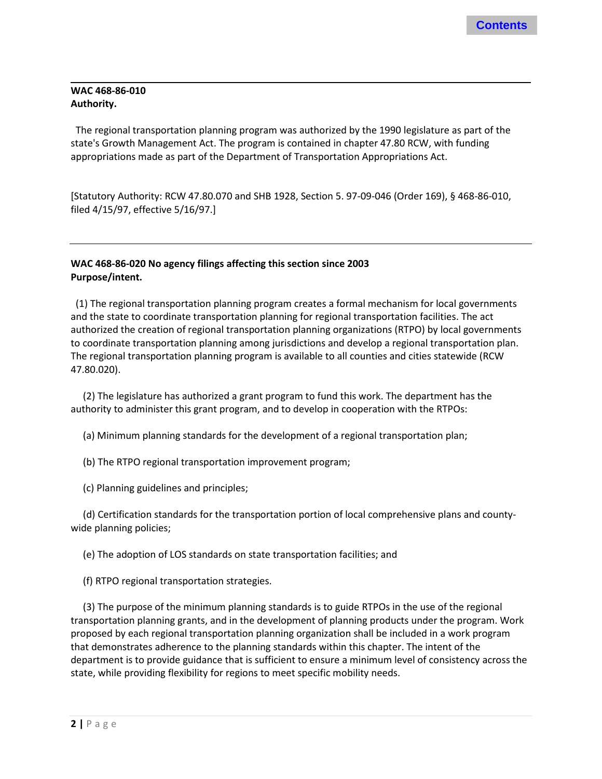#### **WAC 468-86-010 Authority.**

 The regional transportation planning program was authorized by the 1990 legislature as part of the state's Growth Management Act. The program is contained in chapter 47.80 RCW, with funding appropriations made as part of the Department of Transportation Appropriations Act.

[Statutory Authority: RCW 47.80.070 and SHB 1928, Section 5. 97-09-046 (Order 169), § 468-86-010, filed 4/15/97, effective 5/16/97.]

#### **WAC 468-86-020 No agency filings affecting this section since 2003 Purpose/intent.**

 (1) The regional transportation planning program creates a formal mechanism for local governments and the state to coordinate transportation planning for regional transportation facilities. The act authorized the creation of regional transportation planning organizations (RTPO) by local governments to coordinate transportation planning among jurisdictions and develop a regional transportation plan. The regional transportation planning program is available to all counties and cities statewide (RCW 47.80.020).

 (2) The legislature has authorized a grant program to fund this work. The department has the authority to administer this grant program, and to develop in cooperation with the RTPOs:

(a) Minimum planning standards for the development of a regional transportation plan;

(b) The RTPO regional transportation improvement program;

(c) Planning guidelines and principles;

 (d) Certification standards for the transportation portion of local comprehensive plans and countywide planning policies;

(e) The adoption of LOS standards on state transportation facilities; and

(f) RTPO regional transportation strategies.

 (3) The purpose of the minimum planning standards is to guide RTPOs in the use of the regional transportation planning grants, and in the development of planning products under the program. Work proposed by each regional transportation planning organization shall be included in a work program that demonstrates adherence to the planning standards within this chapter. The intent of the department is to provide guidance that is sufficient to ensure a minimum level of consistency across the state, while providing flexibility for regions to meet specific mobility needs.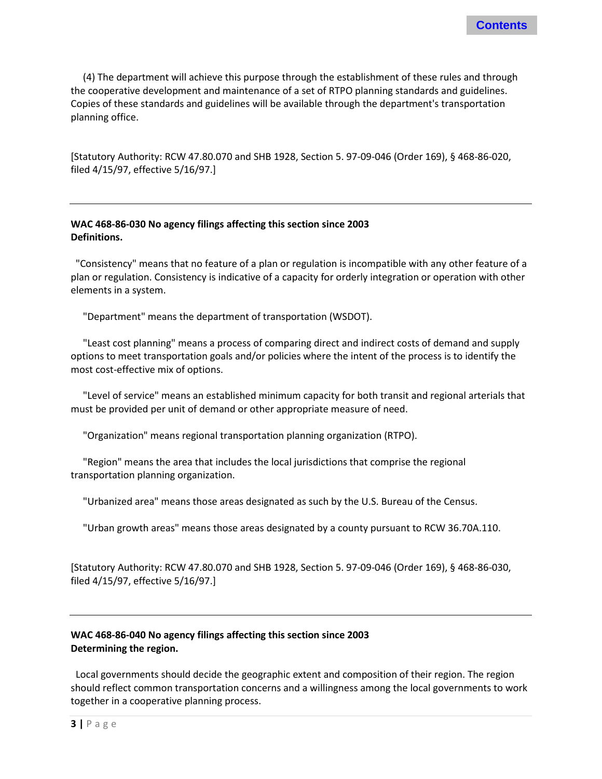(4) The department will achieve this purpose through the establishment of these rules and through the cooperative development and maintenance of a set of RTPO planning standards and guidelines. Copies of these standards and guidelines will be available through the department's transportation planning office.

[Statutory Authority: RCW 47.80.070 and SHB 1928, Section 5. 97-09-046 (Order 169), § 468-86-020, filed 4/15/97, effective 5/16/97.]

#### **WAC 468-86-030 No agency filings affecting this section since 2003 Definitions.**

 "Consistency" means that no feature of a plan or regulation is incompatible with any other feature of a plan or regulation. Consistency is indicative of a capacity for orderly integration or operation with other elements in a system.

"Department" means the department of transportation (WSDOT).

 "Least cost planning" means a process of comparing direct and indirect costs of demand and supply options to meet transportation goals and/or policies where the intent of the process is to identify the most cost-effective mix of options.

 "Level of service" means an established minimum capacity for both transit and regional arterials that must be provided per unit of demand or other appropriate measure of need.

"Organization" means regional transportation planning organization (RTPO).

 "Region" means the area that includes the local jurisdictions that comprise the regional transportation planning organization.

"Urbanized area" means those areas designated as such by the U.S. Bureau of the Census.

"Urban growth areas" means those areas designated by a county pursuant to RCW 36.70A.110.

[Statutory Authority: RCW 47.80.070 and SHB 1928, Section 5. 97-09-046 (Order 169), § 468-86-030, filed 4/15/97, effective 5/16/97.]

#### **WAC 468-86-040 No agency filings affecting this section since 2003 Determining the region.**

 Local governments should decide the geographic extent and composition of their region. The region should reflect common transportation concerns and a willingness among the local governments to work together in a cooperative planning process.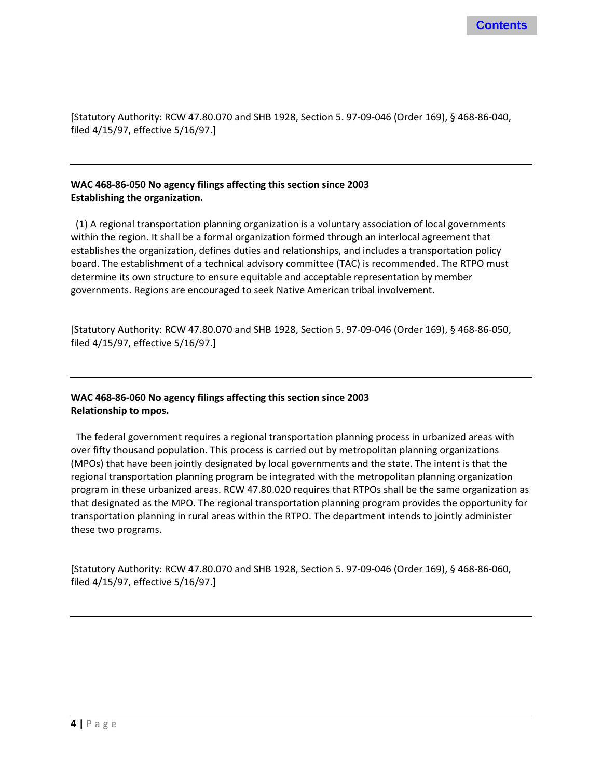[Statutory Authority: RCW 47.80.070 and SHB 1928, Section 5. 97-09-046 (Order 169), § 468-86-040, filed 4/15/97, effective 5/16/97.]

#### **WAC 468-86-050 No agency filings affecting this section since 2003 Establishing the organization.**

 (1) A regional transportation planning organization is a voluntary association of local governments within the region. It shall be a formal organization formed through an interlocal agreement that establishes the organization, defines duties and relationships, and includes a transportation policy board. The establishment of a technical advisory committee (TAC) is recommended. The RTPO must determine its own structure to ensure equitable and acceptable representation by member governments. Regions are encouraged to seek Native American tribal involvement.

[Statutory Authority: RCW 47.80.070 and SHB 1928, Section 5. 97-09-046 (Order 169), § 468-86-050, filed 4/15/97, effective 5/16/97.]

#### **WAC 468-86-060 No agency filings affecting this section since 2003 Relationship to mpos.**

 The federal government requires a regional transportation planning process in urbanized areas with over fifty thousand population. This process is carried out by metropolitan planning organizations (MPOs) that have been jointly designated by local governments and the state. The intent is that the regional transportation planning program be integrated with the metropolitan planning organization program in these urbanized areas. RCW 47.80.020 requires that RTPOs shall be the same organization as that designated as the MPO. The regional transportation planning program provides the opportunity for transportation planning in rural areas within the RTPO. The department intends to jointly administer these two programs.

[Statutory Authority: RCW 47.80.070 and SHB 1928, Section 5. 97-09-046 (Order 169), § 468-86-060, filed 4/15/97, effective 5/16/97.]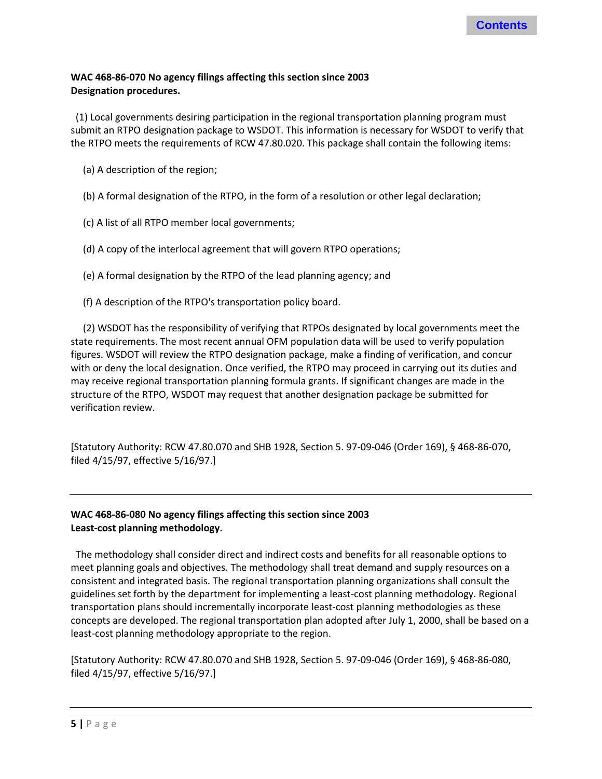#### **WAC 468-86-070 No agency filings affecting this section since 2003 Designation procedures.**

 (1) Local governments desiring participation in the regional transportation planning program must submit an RTPO designation package to WSDOT. This information is necessary for WSDOT to verify that the RTPO meets the requirements of RCW 47.80.020. This package shall contain the following items:

- (a) A description of the region;
- (b) A formal designation of the RTPO, in the form of a resolution or other legal declaration;
- (c) A list of all RTPO member local governments;
- (d) A copy of the interlocal agreement that will govern RTPO operations;
- (e) A formal designation by the RTPO of the lead planning agency; and
- (f) A description of the RTPO's transportation policy board.

 (2) WSDOT has the responsibility of verifying that RTPOs designated by local governments meet the state requirements. The most recent annual OFM population data will be used to verify population figures. WSDOT will review the RTPO designation package, make a finding of verification, and concur with or deny the local designation. Once verified, the RTPO may proceed in carrying out its duties and may receive regional transportation planning formula grants. If significant changes are made in the structure of the RTPO, WSDOT may request that another designation package be submitted for verification review.

[Statutory Authority: RCW 47.80.070 and SHB 1928, Section 5. 97-09-046 (Order 169), § 468-86-070, filed 4/15/97, effective 5/16/97.]

#### **WAC 468-86-080 No agency filings affecting this section since 2003 Least-cost planning methodology.**

 The methodology shall consider direct and indirect costs and benefits for all reasonable options to meet planning goals and objectives. The methodology shall treat demand and supply resources on a consistent and integrated basis. The regional transportation planning organizations shall consult the guidelines set forth by the department for implementing a least-cost planning methodology. Regional transportation plans should incrementally incorporate least-cost planning methodologies as these concepts are developed. The regional transportation plan adopted after July 1, 2000, shall be based on a least-cost planning methodology appropriate to the region.

[Statutory Authority: RCW 47.80.070 and SHB 1928, Section 5. 97-09-046 (Order 169), § 468-86-080, filed 4/15/97, effective 5/16/97.]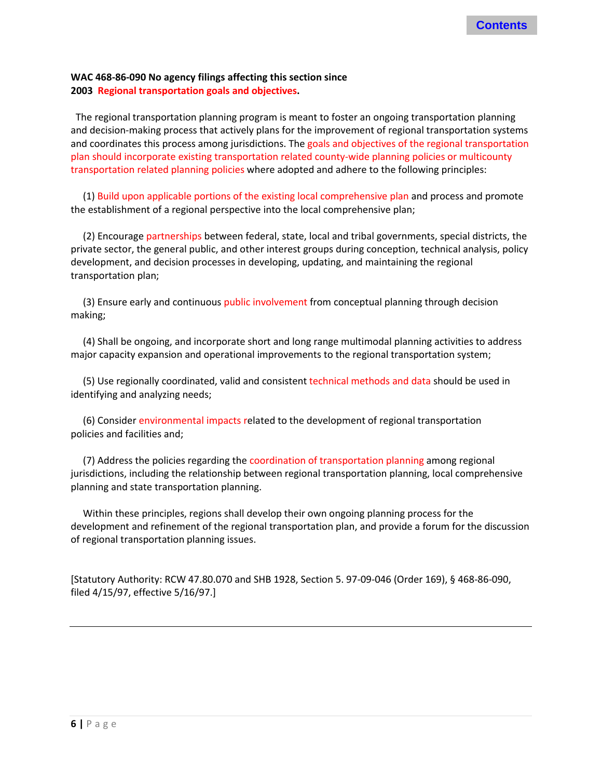#### **WAC 468-86-090 No agency filings affecting this section since 2003 Regional transportation goals and objectives.**

 The regional transportation planning program is meant to foster an ongoing transportation planning and decision-making process that actively plans for the improvement of regional transportation systems and coordinates this process among jurisdictions. The goals and objectives of the regional transportation plan should incorporate existing transportation related county-wide planning policies or multicounty transportation related planning policies where adopted and adhere to the following principles:

 (1) Build upon applicable portions of the existing local comprehensive plan and process and promote the establishment of a regional perspective into the local comprehensive plan;

 (2) Encourage partnerships between federal, state, local and tribal governments, special districts, the private sector, the general public, and other interest groups during conception, technical analysis, policy development, and decision processes in developing, updating, and maintaining the regional transportation plan;

 (3) Ensure early and continuous public involvement from conceptual planning through decision making;

 (4) Shall be ongoing, and incorporate short and long range multimodal planning activities to address major capacity expansion and operational improvements to the regional transportation system;

 (5) Use regionally coordinated, valid and consistent technical methods and data should be used in identifying and analyzing needs;

 (6) Consider environmental impacts related to the development of regional transportation policies and facilities and;

 (7) Address the policies regarding the coordination of transportation planning among regional jurisdictions, including the relationship between regional transportation planning, local comprehensive planning and state transportation planning.

 Within these principles, regions shall develop their own ongoing planning process for the development and refinement of the regional transportation plan, and provide a forum for the discussion of regional transportation planning issues.

[Statutory Authority: RCW 47.80.070 and SHB 1928, Section 5. 97-09-046 (Order 169), § 468-86-090, filed 4/15/97, effective 5/16/97.]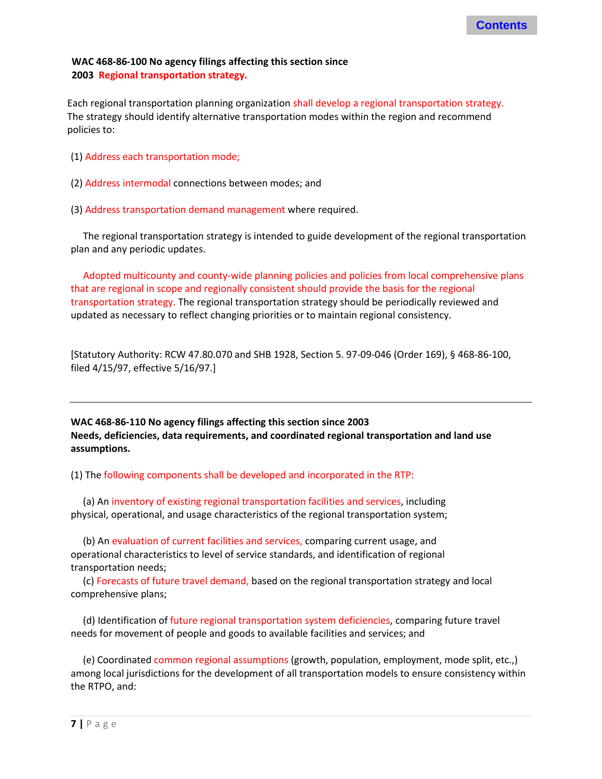#### **WAC 468-86-100 No agency filings affecting this section since 2003 Regional transportation strategy.**

Each regional transportation planning organization shall develop a regional transportation strategy. The strategy should identify alternative transportation modes within the region and recommend policies to:

- (1) Address each transportation mode;
- (2) Address intermodal connections between modes; and
- (3) Address transportation demand management where required.

 The regional transportation strategy is intended to guide development of the regional transportation plan and any periodic updates.

 Adopted multicounty and county-wide planning policies and policies from local comprehensive plans that are regional in scope and regionally consistent should provide the basis for the regional transportation strategy. The regional transportation strategy should be periodically reviewed and updated as necessary to reflect changing priorities or to maintain regional consistency.

[Statutory Authority: RCW 47.80.070 and SHB 1928, Section 5. 97-09-046 (Order 169), § 468-86-100, filed 4/15/97, effective 5/16/97.]

**WAC 468-86-110 No agency filings affecting this section since 2003 Needs, deficiencies, data requirements, and coordinated regional transportation and land use assumptions.** 

(1) The following components shall be developed and incorporated in the RTP:

 (a) An inventory of existing regional transportation facilities and services, including physical, operational, and usage characteristics of the regional transportation system;

 (b) An evaluation of current facilities and services, comparing current usage, and operational characteristics to level of service standards, and identification of regional transportation needs;

 (c) Forecasts of future travel demand, based on the regional transportation strategy and local comprehensive plans;

 (d) Identification of future regional transportation system deficiencies, comparing future travel needs for movement of people and goods to available facilities and services; and

 (e) Coordinated common regional assumptions (growth, population, employment, mode split, etc.,) among local jurisdictions for the development of all transportation models to ensure consistency within the RTPO, and: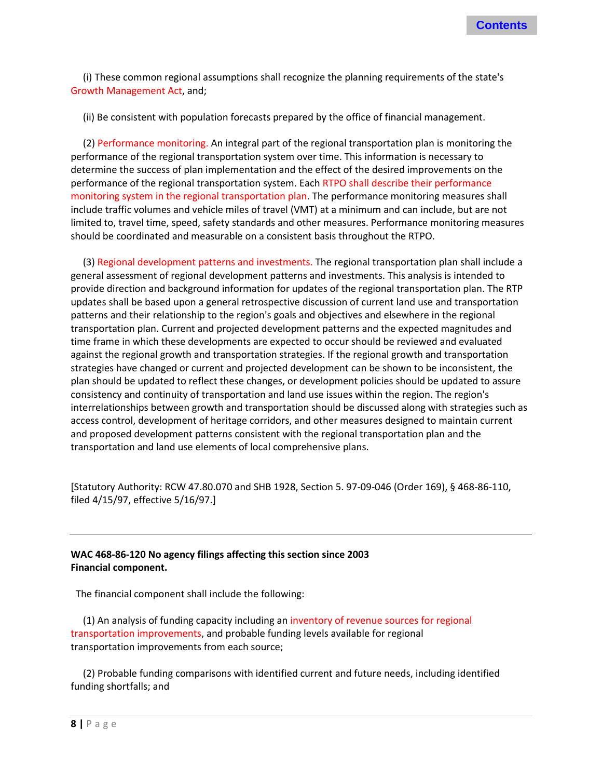(i) These common regional assumptions shall recognize the planning requirements of the state's Growth Management Act, and;

(ii) Be consistent with population forecasts prepared by the office of financial management.

 (2) Performance monitoring. An integral part of the regional transportation plan is monitoring the performance of the regional transportation system over time. This information is necessary to determine the success of plan implementation and the effect of the desired improvements on the performance of the regional transportation system. Each RTPO shall describe their performance monitoring system in the regional transportation plan. The performance monitoring measures shall include traffic volumes and vehicle miles of travel (VMT) at a minimum and can include, but are not limited to, travel time, speed, safety standards and other measures. Performance monitoring measures should be coordinated and measurable on a consistent basis throughout the RTPO.

 (3) Regional development patterns and investments. The regional transportation plan shall include a general assessment of regional development patterns and investments. This analysis is intended to provide direction and background information for updates of the regional transportation plan. The RTP updates shall be based upon a general retrospective discussion of current land use and transportation patterns and their relationship to the region's goals and objectives and elsewhere in the regional transportation plan. Current and projected development patterns and the expected magnitudes and time frame in which these developments are expected to occur should be reviewed and evaluated against the regional growth and transportation strategies. If the regional growth and transportation strategies have changed or current and projected development can be shown to be inconsistent, the plan should be updated to reflect these changes, or development policies should be updated to assure consistency and continuity of transportation and land use issues within the region. The region's interrelationships between growth and transportation should be discussed along with strategies such as access control, development of heritage corridors, and other measures designed to maintain current and proposed development patterns consistent with the regional transportation plan and the transportation and land use elements of local comprehensive plans.

[Statutory Authority: RCW 47.80.070 and SHB 1928, Section 5. 97-09-046 (Order 169), § 468-86-110, filed 4/15/97, effective 5/16/97.]

#### **WAC 468-86-120 No agency filings affecting this section since 2003 Financial component.**

The financial component shall include the following:

 (1) An analysis of funding capacity including an inventory of revenue sources for regional transportation improvements, and probable funding levels available for regional transportation improvements from each source;

 (2) Probable funding comparisons with identified current and future needs, including identified funding shortfalls; and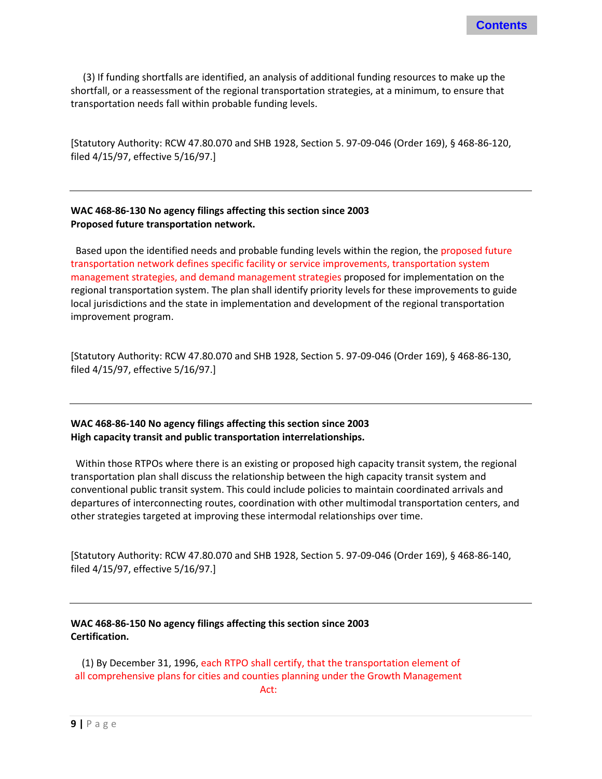(3) If funding shortfalls are identified, an analysis of additional funding resources to make up the shortfall, or a reassessment of the regional transportation strategies, at a minimum, to ensure that transportation needs fall within probable funding levels.

[Statutory Authority: RCW 47.80.070 and SHB 1928, Section 5. 97-09-046 (Order 169), § 468-86-120, filed 4/15/97, effective 5/16/97.]

#### **WAC 468-86-130 No agency filings affecting this section since 2003 Proposed future transportation network.**

 Based upon the identified needs and probable funding levels within the region, the proposed future transportation network defines specific facility or service improvements, transportation system management strategies, and demand management strategies proposed for implementation on the regional transportation system. The plan shall identify priority levels for these improvements to guide local jurisdictions and the state in implementation and development of the regional transportation improvement program.

[Statutory Authority: RCW 47.80.070 and SHB 1928, Section 5. 97-09-046 (Order 169), § 468-86-130, filed 4/15/97, effective 5/16/97.]

#### **WAC 468-86-140 No agency filings affecting this section since 2003 High capacity transit and public transportation interrelationships.**

 Within those RTPOs where there is an existing or proposed high capacity transit system, the regional transportation plan shall discuss the relationship between the high capacity transit system and conventional public transit system. This could include policies to maintain coordinated arrivals and departures of interconnecting routes, coordination with other multimodal transportation centers, and other strategies targeted at improving these intermodal relationships over time.

[Statutory Authority: RCW 47.80.070 and SHB 1928, Section 5. 97-09-046 (Order 169), § 468-86-140, filed 4/15/97, effective 5/16/97.]

#### **WAC 468-86-150 No agency filings affecting this section since 2003 Certification.**

 (1) By December 31, 1996, each RTPO shall certify, that the transportation element of all comprehensive plans for cities and counties planning under the Growth Management Act: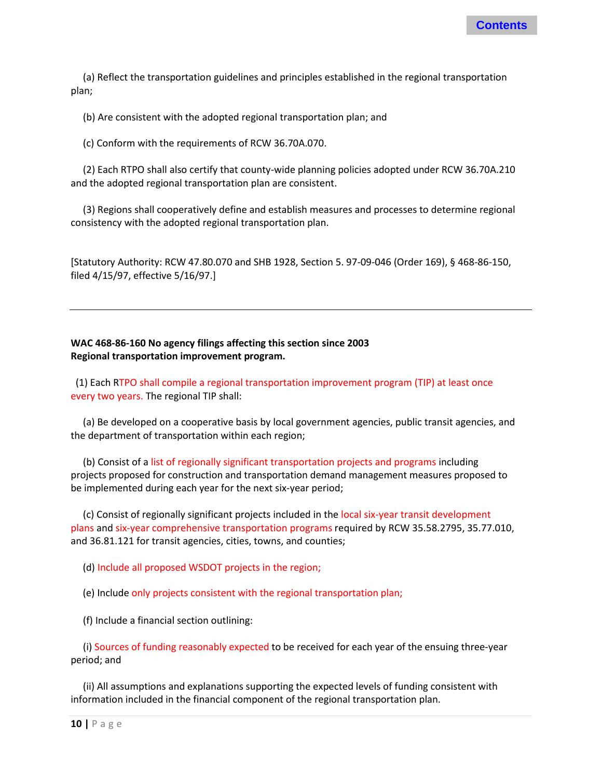(a) Reflect the transportation guidelines and principles established in the regional transportation plan;

(b) Are consistent with the adopted regional transportation plan; and

(c) Conform with the requirements of RCW 36.70A.070.

 (2) Each RTPO shall also certify that county-wide planning policies adopted under RCW 36.70A.210 and the adopted regional transportation plan are consistent.

 (3) Regions shall cooperatively define and establish measures and processes to determine regional consistency with the adopted regional transportation plan.

[Statutory Authority: RCW 47.80.070 and SHB 1928, Section 5. 97-09-046 (Order 169), § 468-86-150, filed 4/15/97, effective 5/16/97.]

#### **WAC 468-86-160 No agency filings affecting this section since 2003 Regional transportation improvement program.**

 (1) Each RTPO shall compile a regional transportation improvement program (TIP) at least once every two years. The regional TIP shall:

 (a) Be developed on a cooperative basis by local government agencies, public transit agencies, and the department of transportation within each region;

 (b) Consist of a list of regionally significant transportation projects and programs including projects proposed for construction and transportation demand management measures proposed to be implemented during each year for the next six-year period;

 (c) Consist of regionally significant projects included in the local six-year transit development plans and six-year comprehensive transportation programs required by RCW 35.58.2795, 35.77.010, and 36.81.121 for transit agencies, cities, towns, and counties;

(d) Include all proposed WSDOT projects in the region;

(e) Include only projects consistent with the regional transportation plan;

(f) Include a financial section outlining:

 (i) Sources of funding reasonably expected to be received for each year of the ensuing three-year period; and

 (ii) All assumptions and explanations supporting the expected levels of funding consistent with information included in the financial component of the regional transportation plan.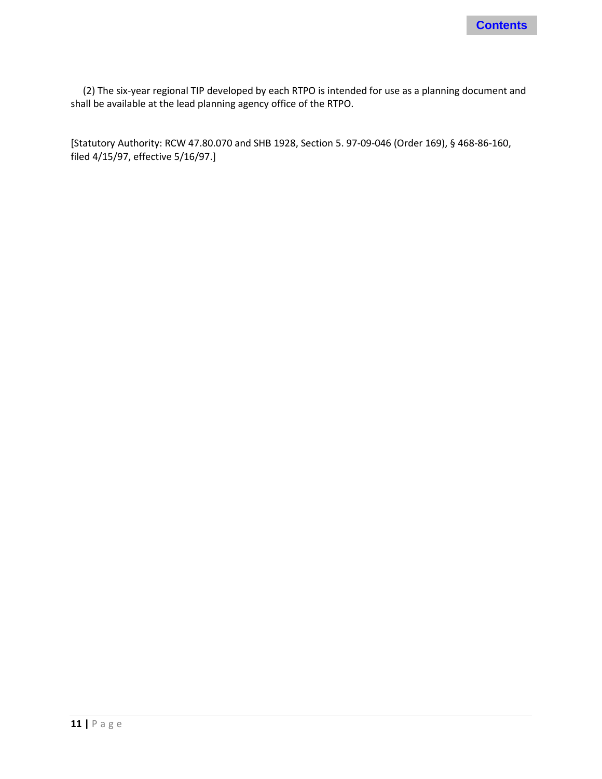

 (2) The six-year regional TIP developed by each RTPO is intended for use as a planning document and shall be available at the lead planning agency office of the RTPO.

[Statutory Authority: RCW 47.80.070 and SHB 1928, Section 5. 97-09-046 (Order 169), § 468-86-160, filed 4/15/97, effective 5/16/97.]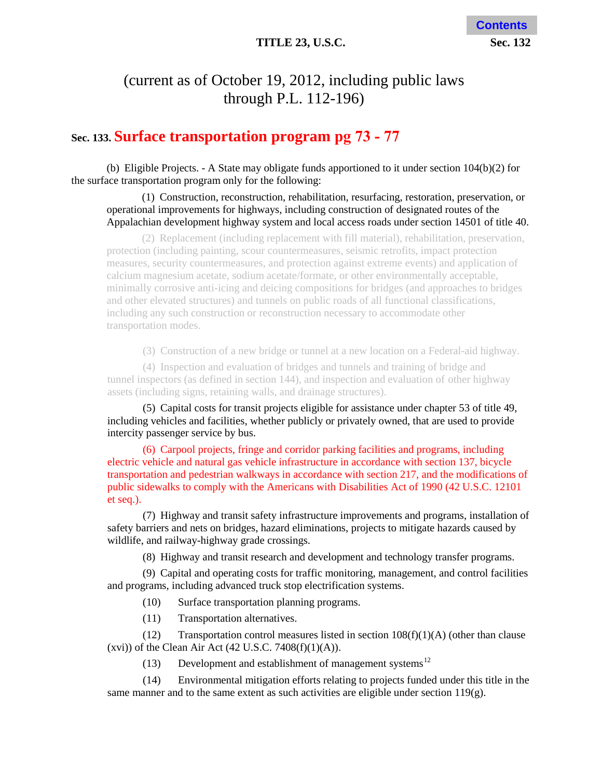#### **TITLE 23, U.S.C. Sec. 132**

# <span id="page-13-0"></span>(current as of October 19, 2012, including public laws through P.L. 112-196)

### **Sec. 133. Surface transportation program pg 73 - 77**

(b) Eligible Projects. - A State may obligate funds apportioned to it under section 104(b)(2) for the surface transportation program only for the following:

#### (1) Construction, reconstruction, rehabilitation, resurfacing, restoration, preservation, or operational improvements for highways, including construction of designated routes of the Appalachian development highway system and local access roads under section 14501 of title 40.

(2) Replacement (including replacement with fill material), rehabilitation, preservation, protection (including painting, scour countermeasures, seismic retrofits, impact protection measures, security countermeasures, and protection against extreme events) and application of calcium magnesium acetate, sodium acetate/formate, or other environmentally acceptable, minimally corrosive anti-icing and deicing compositions for bridges (and approaches to bridges and other elevated structures) and tunnels on public roads of all functional classifications, including any such construction or reconstruction necessary to accommodate other transportation modes.

(3) Construction of a new bridge or tunnel at a new location on a Federal-aid highway.

(4) Inspection and evaluation of bridges and tunnels and training of bridge and tunnel inspectors (as defined in section 144), and inspection and evaluation of other highway assets (including signs, retaining walls, and drainage structures).

(5) Capital costs for transit projects eligible for assistance under chapter 53 of title 49, including vehicles and facilities, whether publicly or privately owned, that are used to provide intercity passenger service by bus.

(6) Carpool projects, fringe and corridor parking facilities and programs, including electric vehicle and natural gas vehicle infrastructure in accordance with section 137, bicycle transportation and pedestrian walkways in accordance with section 217, and the modifications of public sidewalks to comply with the Americans with Disabilities Act of 1990 (42 U.S.C. 12101 et seq.).

(7) Highway and transit safety infrastructure improvements and programs, installation of safety barriers and nets on bridges, hazard eliminations, projects to mitigate hazards caused by wildlife, and railway-highway grade crossings.

(8) Highway and transit research and development and technology transfer programs.

(9) Capital and operating costs for traffic monitoring, management, and control facilities and programs, including advanced truck stop electrification systems.

(10) Surface transportation planning programs.

(11) Transportation alternatives.

(12) Transportation control measures listed in section  $108(f)(1)(A)$  (other than clause (xvi)) of the Clean Air Act  $(42 \text{ U.S.C. } 7408 \text{ (f)}(1)(A)).$ 

(13) Development and establishment of management systems<sup>12</sup>

(14) Environmental mitigation efforts relating to projects funded under this title in the same manner and to the same extent as such activities are eligible under section 119(g).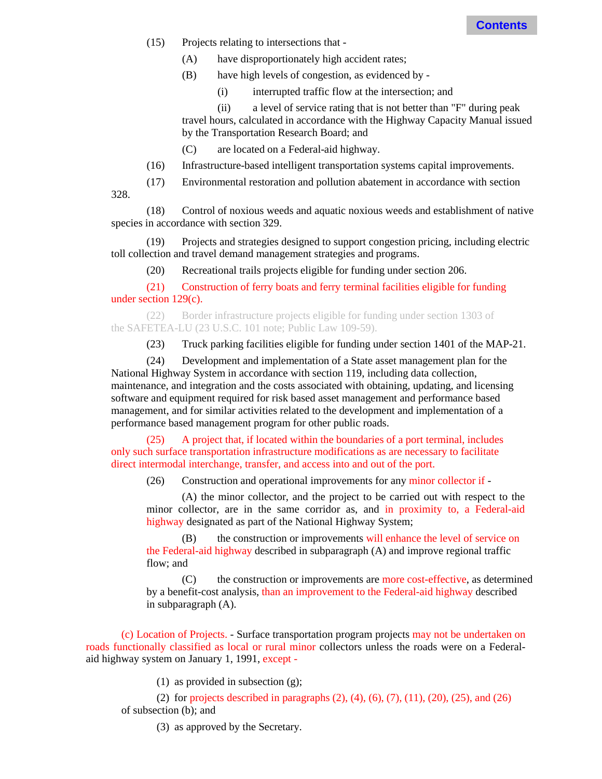(15) Projects relating to intersections that -

328.

- (A) have disproportionately high accident rates;
- (B) have high levels of congestion, as evidenced by
	- (i) interrupted traffic flow at the intersection; and

(ii) a level of service rating that is not better than "F" during peak travel hours, calculated in accordance with the Highway Capacity Manual issued by the Transportation Research Board; and

- (C) are located on a Federal-aid highway.
- (16) Infrastructure-based intelligent transportation systems capital improvements.
- (17) Environmental restoration and pollution abatement in accordance with section

(18) Control of noxious weeds and aquatic noxious weeds and establishment of native species in accordance with section 329.

(19) Projects and strategies designed to support congestion pricing, including electric toll collection and travel demand management strategies and programs.

(20) Recreational trails projects eligible for funding under section 206.

(21) Construction of ferry boats and ferry terminal facilities eligible for funding under section 129(c).

(22) Border infrastructure projects eligible for funding under section 1303 of the SAFETEA-LU (23 U.S.C. 101 note; Public Law 109-59).

(23) Truck parking facilities eligible for funding under section 1401 of the MAP-21.

(24) Development and implementation of a State asset management plan for the National Highway System in accordance with section 119, including data collection, maintenance, and integration and the costs associated with obtaining, u[pda](#page-14-0)ting, and licensing software and equipment required for risk based asset management and performance based management, and for similar activities related to the development and implementation of a performance based management program for other public roads.

(25) A project that, if located within the boundaries of a port terminal, includes only such surface transportation infrastructure modifications as are necessary to facilitate direct intermodal interchange, transfer, and access into and out of the port.

(26) Construction and operational improvements for any minor collector if -

(A) the minor collector, and the project to be carried out with respect to the minor collector, are in the same corridor as, and in proximity to, a Federal-aid highway designated as part of the National Highway System;

(B) the construction or improvements will enhance the level of service on the Federal-aid highway described in subparagraph (A) and improve regional traffic flow; and

(C) the construction or improvements are more cost-effective, as determined by a benefit-cost analysis, than an improvement to the Federal-aid highway described in subparagraph (A).

<span id="page-14-0"></span>(c) Location of Projects. - Surface transportation program projects may not be undertaken on roads functionally classified as local or rural minor collectors unless the roads were on a Federalaid highway system on January 1, 1991, except -

(1) as provided in subsection (g);

(2) for projects described in paragraphs  $(2)$ ,  $(4)$ ,  $(6)$ ,  $(7)$ ,  $(11)$ ,  $(20)$ ,  $(25)$ , and  $(26)$ of subsection (b); and

(3) as approved by the Secretary.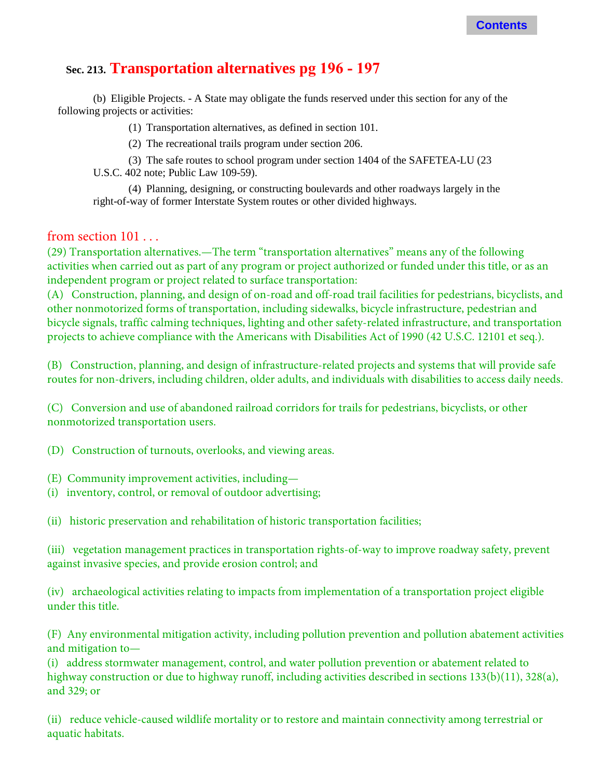# **Sec. 213. Transportation alternatives pg 196 - 197**

(b) Eligible Projects. - A State may obligate the funds reserved under this section for any of the following projects or activities:

(1) Transportation alternatives, as defined in section 101.

(2) The recreational trails program under section 206.

(3) The safe routes to school program under section 1404 of the SAFETEA-LU (23 U.S.C. 402 note; Public Law 109-59).

(4) Planning, designing, or constructing boulevards and other roadways largely in the right-of-way of former Interstate System routes or other divided highways.

#### from section 101 . . .

(29) Transportation alternatives.—The term "transportation alternatives" means any of the following activities when carried out as part of any program or project authorized or funded under this title, or as an independent program or project related to surface transportation:

(A) Construction, planning, and design of on-road and off-road trail facilities for pedestrians, bicyclists, and other nonmotorized forms of transportation, including sidewalks, bicycle infrastructure, pedestrian and bicycle signals, traffic calming techniques, lighting and other safety-related infrastructure, and transportation projects to achieve compliance with the Americans with Disabilities Act of 1990 (42 U.S.C. 12101 et seq.).

(B) Construction, planning, and design of infrastructure-related projects and systems that will provide safe routes for non-drivers, including children, older adults, and individuals with disabilities to access daily needs.

(C) Conversion and use of abandoned railroad corridors for trails for pedestrians, bicyclists, or other nonmotorized transportation users.

(D) Construction of turnouts, overlooks, and viewing areas.

(E) Community improvement activities, including—

(i) inventory, control, or removal of outdoor advertising;

(ii) historic preservation and rehabilitation of historic transportation facilities;

(iii) vegetation management practices in transportation rights-of-way to improve roadway safety, prevent against invasive species, and provide erosion control; and

(iv) archaeological activities relating to impacts from implementation of a transportation project eligible under this title.

(F) Any environmental mitigation activity, including pollution prevention and pollution abatement activities and mitigation to—

(i) address stormwater management, control, and water pollution prevention or abatement related to highway construction or due to highway runoff, including activities described in sections 133(b)(11), 328(a), and 329; or

(ii) reduce vehicle-caused wildlife mortality or to restore and maintain connectivity among terrestrial or aquatic habitats.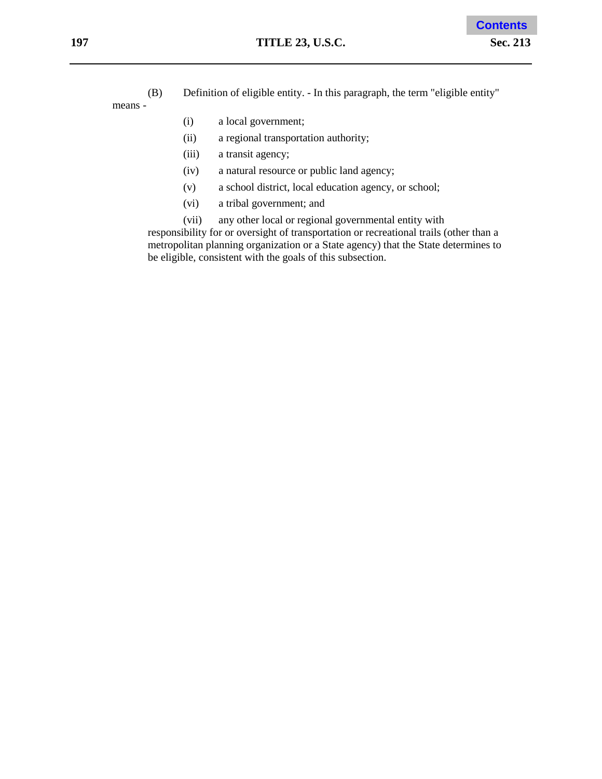(B) Definition of eligible entity. - In this paragraph, the term "eligible entity" means -

- (i) a local government;
- (ii) a regional transportation authority;
- (iii) a transit agency;
- (iv) a natural resource or public land agency;
- (v) a school district, local education agency, or school;
- (vi) a tribal government; and
- (vii) any other local or regional governmental entity with

responsibility for or oversight of transportation or recreational trails (other than a metropolitan planning organization or a State agency) that the State determines to be eligible, consistent with the goals of this subsection.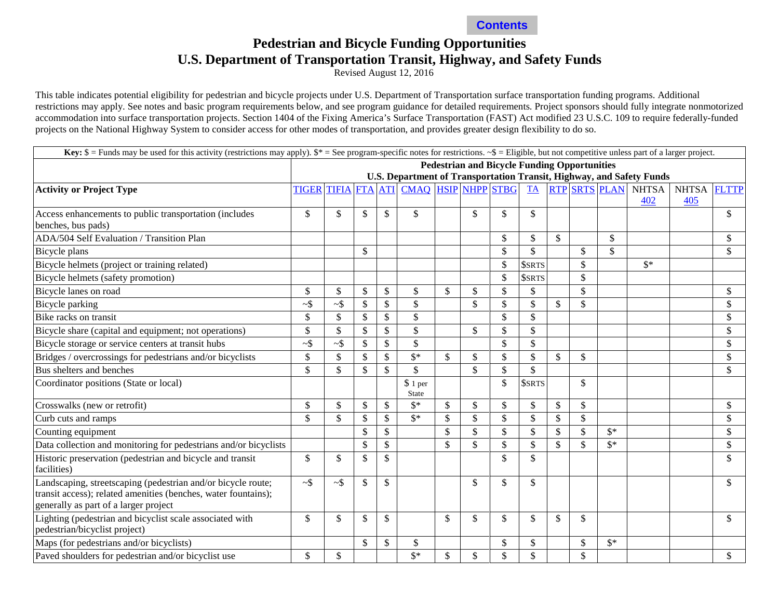

### **Pedestrian and Bicycle Funding Opportunities U.S. Department of Transportation Transit, Highway, and Safety Funds**

Revised August 12, 2016

<span id="page-17-0"></span>This table indicates potential eligibility for pedestrian and bicycle projects under U.S. Department of Transportation surface transportation funding programs. Additional restrictions may apply. See notes and basic program requirements below, and see program guidance for detailed requirements. Project sponsors should fully integrate nonmotorized accommodation into surface transportation projects. Section 1404 of the Fixing America's Surface Transportation (FAST) Act modified 23 U.S.C. 109 to require federally-funded projects on the National Highway System to consider access for other modes of transportation, and provides greater design flexibility to do so.

| <b>Key:</b> $\$$ = Funds may be used for this activity (restrictions may apply). $\$$ * = See program-specific notes for restrictions. $\_{\$}$ = Eligible, but not competitive unless part of a larger project. |                                                                                                                                   |                           |              |               |                           |               |               |                    |                           |              |               |                |                |              |              |
|------------------------------------------------------------------------------------------------------------------------------------------------------------------------------------------------------------------|-----------------------------------------------------------------------------------------------------------------------------------|---------------------------|--------------|---------------|---------------------------|---------------|---------------|--------------------|---------------------------|--------------|---------------|----------------|----------------|--------------|--------------|
|                                                                                                                                                                                                                  | <b>Pedestrian and Bicycle Funding Opportunities</b>                                                                               |                           |              |               |                           |               |               |                    |                           |              |               |                |                |              |              |
|                                                                                                                                                                                                                  | U.S. Department of Transportation Transit, Highway, and Safety Funds<br><b>RTP SRTS PLAN</b><br>TIFIA FTA ATI CMAQ HSIP NHPP STBG |                           |              |               |                           |               |               |                    |                           |              |               |                |                |              |              |
| <b>Activity or Project Type</b>                                                                                                                                                                                  | <b>TIGER</b>                                                                                                                      |                           |              |               |                           |               |               |                    | <b>TA</b>                 |              |               |                | <b>NHTSA</b>   | <b>NHTSA</b> | <b>FLTTP</b> |
|                                                                                                                                                                                                                  |                                                                                                                                   |                           |              |               |                           |               |               |                    |                           |              |               |                | 402            | 405          |              |
| Access enhancements to public transportation (includes<br>benches, bus pads)                                                                                                                                     | \$                                                                                                                                | $\mathbb{S}$              | \$           | \$            | \$                        |               | \$            | \$                 | \$                        |              |               |                |                |              | \$           |
| ADA/504 Self Evaluation / Transition Plan                                                                                                                                                                        |                                                                                                                                   |                           |              |               |                           |               |               | \$                 | $\mathcal{S}$             | $\mathbb{S}$ |               | $\mathbb{S}$   |                |              | \$           |
| Bicycle plans                                                                                                                                                                                                    |                                                                                                                                   |                           | \$           |               |                           |               |               | \$                 | $\mathbb{S}$              |              | \$            | $\mathbb{S}$   |                |              | \$           |
| Bicycle helmets (project or training related)                                                                                                                                                                    |                                                                                                                                   |                           |              |               |                           |               |               | \$                 | <b>\$SRTS</b>             |              | \$            |                | $\mathbb{S}^*$ |              |              |
| Bicycle helmets (safety promotion)                                                                                                                                                                               |                                                                                                                                   |                           |              |               |                           |               |               | $\mathbf{\hat{S}}$ | <b>\$SRTS</b>             |              | $\mathbb{S}$  |                |                |              |              |
| Bicycle lanes on road                                                                                                                                                                                            | \$                                                                                                                                | \$                        | \$           | \$            | \$                        | $\mathcal{S}$ | \$            | \$                 | \$                        |              | \$            |                |                |              | \$           |
| Bicycle parking                                                                                                                                                                                                  | $\sim$ \$                                                                                                                         | $\sim$ \$                 | \$           | \$            | $\$$                      |               | \$            | \$                 | $\mathcal{S}$             | \$           | \$            |                |                |              | \$           |
| Bike racks on transit                                                                                                                                                                                            | $\mathbb{S}$                                                                                                                      | $\mathbb{S}$              | $\mathbb{S}$ | \$            | $\mathbb{S}$              |               |               | \$                 | $\mathcal{S}$             |              |               |                |                |              | \$           |
| Bicycle share (capital and equipment; not operations)                                                                                                                                                            | $\mathbb{S}$                                                                                                                      | $\mathcal{S}$             | \$           | \$            | $\$$                      |               | \$            | \$                 | $\mathcal{S}$             |              |               |                |                |              | \$           |
| Bicycle storage or service centers at transit hubs                                                                                                                                                               | $-$ \$                                                                                                                            | $\sim$ \$                 | $\mathbb{S}$ | $\mathbb{S}$  | $\mathbb{S}$              |               |               | \$                 | $\mathcal{S}$             |              |               |                |                |              | \$           |
| Bridges / overcrossings for pedestrians and/or bicyclists                                                                                                                                                        | $\mathbb{S}$                                                                                                                      | $\mathcal{S}$             | $\mathbb{S}$ | $\mathbb{S}$  | $\overline{\mathbb{S}^*}$ | $\mathcal{S}$ | $\mathbb{S}$  | \$                 | $\mathbf{\hat{S}}$        | $\mathbb{S}$ | $\mathcal{S}$ |                |                |              | \$           |
| Bus shelters and benches                                                                                                                                                                                         | $\mathbb{S}$                                                                                                                      | $\mathcal{S}$             | $\mathbb{S}$ | $\mathbb{S}$  | $\mathbb{S}$              |               | $\mathbb{S}$  | \$                 | \$                        |              |               |                |                |              | \$           |
| Coordinator positions (State or local)                                                                                                                                                                           |                                                                                                                                   |                           |              |               | \$1 per<br>State          |               |               | \$                 | <b>SSRTS</b>              |              | \$            |                |                |              |              |
| Crosswalks (new or retrofit)                                                                                                                                                                                     | $\mathbb{S}$                                                                                                                      | $\boldsymbol{\mathsf{S}}$ | \$           | \$            | $\mathbb{S}^*$            | $\mathcal{S}$ | $\mathcal{S}$ | \$                 | \$                        | \$           | \$            |                |                |              | \$           |
| Curb cuts and ramps                                                                                                                                                                                              | $\mathbb{S}$                                                                                                                      | $\mathbb{S}$              | $\mathbb{S}$ | \$            | $\mathbf{\hat{s}}^*$      | $\mathcal{S}$ | $\mathbb{S}$  | \$                 | $\mathcal{S}$             | \$           | \$            |                |                |              | \$           |
| Counting equipment                                                                                                                                                                                               |                                                                                                                                   |                           | \$           | $\mathbb{S}$  |                           | $\mathcal{S}$ | $\mathbb{S}$  | \$                 | $\boldsymbol{\mathsf{S}}$ | \$           | \$            | $\mathbb{S}^*$ |                |              | \$           |
| Data collection and monitoring for pedestrians and/or bicyclists                                                                                                                                                 |                                                                                                                                   |                           | \$           | $\mathbb{S}$  |                           | \$            | $\mathbb{S}$  | \$                 | $\mathbb{S}$              | \$           | \$            | $\mathbb{S}^*$ |                |              | \$           |
| Historic preservation (pedestrian and bicycle and transit<br>facilities)                                                                                                                                         | \$                                                                                                                                | $\boldsymbol{\mathsf{S}}$ | $\mathbb{S}$ | $\mathbb{S}$  |                           |               |               | \$                 | \$                        |              |               |                |                |              | \$           |
| Landscaping, streetscaping (pedestrian and/or bicycle route;<br>transit access); related amenities (benches, water fountains);<br>generally as part of a larger project                                          | $\sim$ \$                                                                                                                         | $-$ \$                    | \$           | \$            |                           |               | \$            | \$                 | \$                        |              |               |                |                |              | \$           |
| Lighting (pedestrian and bicyclist scale associated with<br>pedestrian/bicyclist project)                                                                                                                        | \$                                                                                                                                | \$                        | \$           | \$            |                           | $\mathcal{S}$ | \$            | \$                 | \$                        | \$           | \$            |                |                |              | \$           |
| Maps (for pedestrians and/or bicyclists)                                                                                                                                                                         |                                                                                                                                   |                           | \$           | $\mathcal{S}$ | $\mathcal{S}$             |               |               | \$                 | \$                        |              | \$            | $\mathbb{S}^*$ |                |              |              |
| Paved shoulders for pedestrian and/or bicyclist use                                                                                                                                                              | $\mathbb{S}$                                                                                                                      | $\mathcal{S}$             |              |               | $\mathbb{S}^*$            | \$            | \$            | \$                 | \$                        |              | $\mathbb{S}$  |                |                |              | \$           |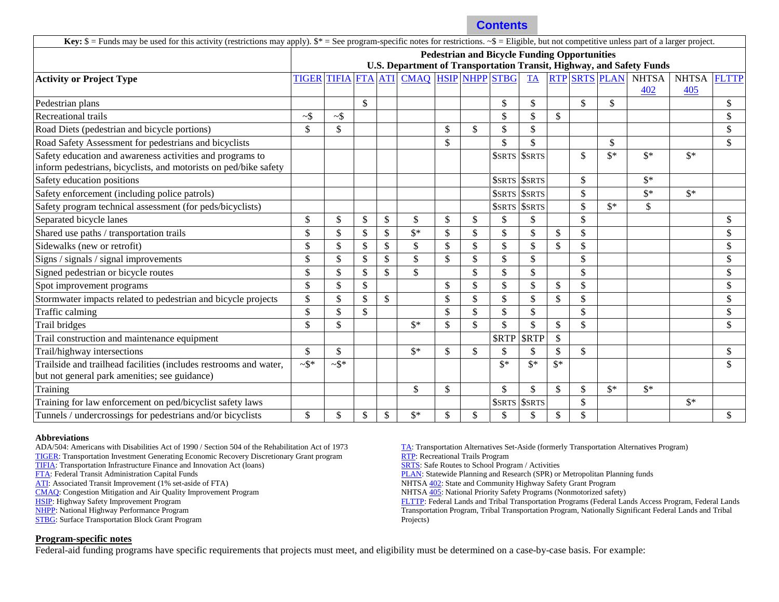| <b>Key:</b> $\$$ = Funds may be used for this activity (restrictions may apply). $\$$ * = See program-specific notes for restrictions. $\_{\$}$ = Eligible, but not competitive unless part of a larger project. |                                                                      |              |            |            |                     |               |              |                    |                                  |                    |               |                      |                |                |              |
|------------------------------------------------------------------------------------------------------------------------------------------------------------------------------------------------------------------|----------------------------------------------------------------------|--------------|------------|------------|---------------------|---------------|--------------|--------------------|----------------------------------|--------------------|---------------|----------------------|----------------|----------------|--------------|
|                                                                                                                                                                                                                  | <b>Pedestrian and Bicycle Funding Opportunities</b>                  |              |            |            |                     |               |              |                    |                                  |                    |               |                      |                |                |              |
|                                                                                                                                                                                                                  | U.S. Department of Transportation Transit, Highway, and Safety Funds |              |            |            |                     |               |              |                    |                                  |                    |               |                      |                |                |              |
| <b>Activity or Project Type</b>                                                                                                                                                                                  | <b>TIGER</b>                                                         | <b>TIFIA</b> | <b>FTA</b> | <b>ATI</b> | CMAQ HSIP NHPP STBG |               |              |                    | <b>TA</b>                        |                    |               | <b>RTP SRTS PLAN</b> | <b>NHTSA</b>   | <b>NHTSA</b>   | <b>FLTTP</b> |
|                                                                                                                                                                                                                  |                                                                      |              |            |            |                     |               |              |                    |                                  |                    |               |                      | 402            | 405            |              |
| Pedestrian plans                                                                                                                                                                                                 |                                                                      |              | \$         |            |                     |               |              | \$                 | $\mathbb{S}$                     |                    | $\mathbb{S}$  | $\mathbb{S}$         |                |                | \$           |
| Recreational trails                                                                                                                                                                                              | $\sim$ \$                                                            | ~5           |            |            |                     |               |              | \$                 | $\mathbf{\hat{S}}$               | \$                 |               |                      |                |                | \$           |
| Road Diets (pedestrian and bicycle portions)                                                                                                                                                                     | \$                                                                   | \$           |            |            |                     | \$            | \$           | $\mathsf{\$}$      | \$                               |                    |               |                      |                |                | \$           |
| Road Safety Assessment for pedestrians and bicyclists                                                                                                                                                            |                                                                      |              |            |            |                     | \$            |              | \$                 | $\mathsf{\$}$                    |                    |               | \$                   |                |                | \$           |
| Safety education and awareness activities and programs to<br>inform pedestrians, bicyclists, and motorists on ped/bike safety                                                                                    |                                                                      |              |            |            |                     |               |              | <b>\$SRTS</b>      | <b>\$SRTS</b>                    |                    | \$            | $\mathbb{S}^*$       | $\mathbb{S}^*$ | $\mathbb{S}^*$ |              |
| Safety education positions                                                                                                                                                                                       |                                                                      |              |            |            |                     |               |              |                    | <b><i><u>SSRTS</u></i></b> SSRTS |                    | <sup>\$</sup> |                      | $\mathbb{S}^*$ |                |              |
| Safety enforcement (including police patrols)                                                                                                                                                                    |                                                                      |              |            |            |                     |               |              | <b>\$SRTS</b>      | <b>\$SRTS</b>                    |                    | $\mathbb{S}$  |                      | $\mathbb{S}^*$ | $\mathbb{S}^*$ |              |
| Safety program technical assessment (for peds/bicyclists)                                                                                                                                                        |                                                                      |              |            |            |                     |               |              |                    | <b><i>SSRTS SSRTS</i></b>        |                    | $\mathcal{S}$ | $\mathbb{S}^*$       | \$             |                |              |
| Separated bicycle lanes                                                                                                                                                                                          | \$                                                                   | \$           | \$         | \$         | \$                  | \$            | \$           | \$                 | \$                               |                    | $\mathcal{S}$ |                      |                |                | \$           |
| Shared use paths / transportation trails                                                                                                                                                                         | \$                                                                   | \$           | \$         | \$         | $\mathbb{S}^*$      | \$            | $\mathbb{S}$ | $\mathcal{S}$      | \$                               | \$                 | $\mathcal{S}$ |                      |                |                | \$           |
| Sidewalks (new or retrofit)                                                                                                                                                                                      | \$                                                                   | \$           | \$         | \$         | $\mathbb{S}$        | \$            | $\mathbb{S}$ | $\mathbb{S}$       | $\mathbb{S}$                     | \$                 | $\mathcal{S}$ |                      |                |                | \$           |
| Signs / signals / signal improvements                                                                                                                                                                            | \$                                                                   | \$           | \$         | \$         | \$                  | \$            | \$           | \$                 | \$                               |                    | $\mathbb{S}$  |                      |                |                | \$           |
| Signed pedestrian or bicycle routes                                                                                                                                                                              | \$                                                                   | \$           | \$         | \$         | $\mathbb{S}$        |               | $\mathbb{S}$ | $\mathbb{S}$       | \$                               |                    | $\mathcal{S}$ |                      |                |                | \$           |
| Spot improvement programs                                                                                                                                                                                        | \$                                                                   | \$           | \$         |            |                     | \$            | $\mathbb{S}$ | $\mathcal{S}$      | $\mathsf{\$}$                    | \$                 | $\mathcal{S}$ |                      |                |                | \$           |
| Stormwater impacts related to pedestrian and bicycle projects                                                                                                                                                    | \$                                                                   | \$           | \$         | \$         |                     | \$            | \$           | \$                 | \$                               | \$                 | $\mathcal{S}$ |                      |                |                | \$           |
| Traffic calming                                                                                                                                                                                                  | $\mathcal{S}$                                                        | \$           | \$         |            |                     | $\mathcal{S}$ | $\mathbb{S}$ | $\mathbf{\hat{s}}$ | $\mathbb{S}$                     |                    | $\mathcal{S}$ |                      |                |                | \$           |
| Trail bridges                                                                                                                                                                                                    | \$                                                                   | \$           |            |            | $\mathbb{S}^*$      | \$            | $\mathbb{S}$ | \$                 | $\mathbb{S}$                     | \$                 | \$            |                      |                |                | \$           |
| Trail construction and maintenance equipment                                                                                                                                                                     |                                                                      |              |            |            |                     |               |              | <b>\$RTP</b>       | <b>SRTP</b>                      | $\mathbf{\hat{S}}$ |               |                      |                |                |              |
| Trail/highway intersections                                                                                                                                                                                      | \$                                                                   | \$           |            |            | $S^*$               | \$            | $\mathbb{S}$ | \$                 | \$                               | \$                 | \$            |                      |                |                | \$           |
| Trailside and trailhead facilities (includes restrooms and water,<br>but not general park amenities; see guidance)                                                                                               | $\sim$ \$*                                                           | $-$ \$*      |            |            |                     |               |              | $\mathbb{S}^*$     | $\mathbb{S}^*$                   | $\mathbb{S}^*$     |               |                      |                |                | \$           |
| Training                                                                                                                                                                                                         |                                                                      |              |            |            | \$                  | \$            |              | $\mathbf{\hat{s}}$ | $\mathbb{S}$                     | $\mathbb{S}$       | $\mathbb{S}$  | $\mathbb{S}^*$       | $\mathbb{S}^*$ |                |              |
| Training for law enforcement on ped/bicyclist safety laws                                                                                                                                                        |                                                                      |              |            |            |                     |               |              | \$SRTS             | <b>SSRTS</b>                     |                    | \$            |                      |                | $\mathbb{S}^*$ |              |
| Tunnels / undercrossings for pedestrians and/or bicyclists                                                                                                                                                       | \$                                                                   | \$           | \$         | \$         | $\mathbb{S}^*$      | \$            | \$           | \$                 | \$                               | \$                 | $\mathcal{S}$ |                      |                |                | \$           |

#### **Abbreviations**

ADA/504: Americans with Disabilities Act of 1990 / Section 504 of the Rehabilitation Act of 1973

[TIGER:](http://www.dot.gov/tiger) Transportation Investment Generating Economic Recovery Discretionary Grant program [TIFIA:](http://www.fhwa.dot.gov/ipd/tifia/) Transportation Infrastructure Finance and Innovation Act (loans)

[FTA:](http://www.fta.dot.gov/13747_14399.html) Federal Transit Administration Capital Funds

[ATI:](http://www.fta.dot.gov/13747_14399.html) Associated Transit Improvement (1% set-aside of FTA)

[CMAQ:](http://www.fhwa.dot.gov/environment/air_quality/cmaq/) Congestion Mitigation and Air Quality Improvement Program

[HSIP:](http://safety.fhwa.dot.gov/hsip/) Highway Safety Improvement Program

[NHPP:](http://www.fhwa.dot.gov/specialfunding/nhpp/160309.cfm) National Highway Performance Program

[STBG:](http://www.fhwa.dot.gov/specialfunding/stp/) Surface Transportation Block Grant Program

[TA:](http://www.fhwa.dot.gov/environment/transportation_alternatives/) Transportation Alternatives Set-Aside (formerly Transportation Alternatives Program) [RTP:](http://www.fhwa.dot.gov/environment/recreational_trails/) Recreational Trails Program

[SRTS:](http://www.fhwa.dot.gov/environment/safe_routes_to_school/) Safe Routes to School Program / Activities

[PLAN:](http://www.fhwa.dot.gov/planning/) Statewide Planning and Research (SPR) or Metropolitan Planning funds

NHTS[A 402:](http://www.ghsa.org/html/stateinfo/programs/402.html) State and Community Highway Safety Grant Program

NHTS[A 405:](http://www.nhtsa.gov/About+NHTSA/Highway+Safety+Grant+Programs) National Priority Safety Programs (Nonmotorized safety)

[FLTTP:](http://flh.fhwa.dot.gov/) Federal Lands and Tribal Transportation Programs (Federal Lands Access Program, Federal Lands Transportation Program, Tribal Transportation Program, Nationally Significant Federal Lands and Tribal Projects)

#### **Program-specific notes**

Federal-aid funding programs have specific requirements that projects must meet, and eligibility must be determined on a case-by-case basis. For example: